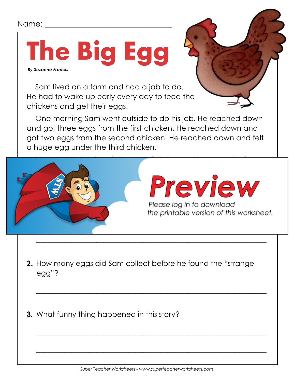## Name:

## **The Big Egg**  *By Suzanne Francis*

Sam lived on a farm and had a job to do. He had to wake up early every day to feed the chickens and get their eggs.

One morning Sam went outside to do his job. He reached down and got three eggs from the first chicken. He reached down and got two eggs from the second chicken. He reached down and felt a huge egg under the third chicken.



 $\overline{\phantom{a}}$  , and the contract of the contract of the contract of the contract of the contract of the contract of the contract of the contract of the contract of the contract of the contract of the contract of the contrac

 $\overline{\phantom{a}}$  , and the contract of the contract of the contract of the contract of the contract of the contract of the contract of the contract of the contract of the contract of the contract of the contract of the contrac

 $\overline{\phantom{a}}$  , and the contract of the contract of the contract of the contract of the contract of the contract of the contract of the contract of the contract of the contract of the contract of the contract of the contrac

 $\overline{\phantom{a}}$  , and the contract of the contract of the contract of the contract of the contract of the contract of the contract of the contract of the contract of the contract of the contract of the contract of the contrac

- **2.** How many eggs did Sam collect before he found the "strange egg"?
- **3.** What funny thing happened in this story?